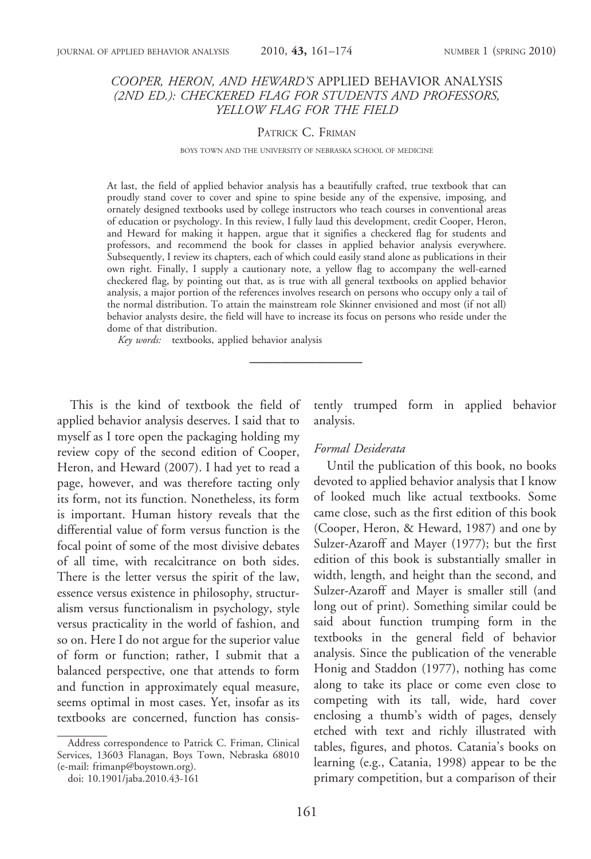## COOPER, HERON, AND HEWARD'S APPLIED BEHAVIOR ANALYSIS (2ND ED.): CHECKERED FLAG FOR STUDENTS AND PROFESSORS, YELLOW FLAG FOR THE FIELD

#### PATRICK C. FRIMAN

BOYS TOWN AND THE UNIVERSITY OF NEBRASKA SCHOOL OF MEDICINE

At last, the field of applied behavior analysis has a beautifully crafted, true textbook that can proudly stand cover to cover and spine to spine beside any of the expensive, imposing, and ornately designed textbooks used by college instructors who teach courses in conventional areas of education or psychology. In this review, I fully laud this development, credit Cooper, Heron, and Heward for making it happen, argue that it signifies a checkered flag for students and professors, and recommend the book for classes in applied behavior analysis everywhere. Subsequently, I review its chapters, each of which could easily stand alone as publications in their own right. Finally, I supply a cautionary note, a yellow flag to accompany the well-earned checkered flag, by pointing out that, as is true with all general textbooks on applied behavior analysis, a major portion of the references involves research on persons who occupy only a tail of the normal distribution. To attain the mainstream role Skinner envisioned and most (if not all) behavior analysts desire, the field will have to increase its focus on persons who reside under the dome of that distribution.

Key words: textbooks, applied behavior analysis

This is the kind of textbook the field of applied behavior analysis deserves. I said that to myself as I tore open the packaging holding my review copy of the second edition of Cooper, Heron, and Heward (2007). I had yet to read a page, however, and was therefore tacting only its form, not its function. Nonetheless, its form is important. Human history reveals that the differential value of form versus function is the focal point of some of the most divisive debates of all time, with recalcitrance on both sides. There is the letter versus the spirit of the law, essence versus existence in philosophy, structuralism versus functionalism in psychology, style versus practicality in the world of fashion, and so on. Here I do not argue for the superior value of form or function; rather, I submit that a balanced perspective, one that attends to form and function in approximately equal measure, seems optimal in most cases. Yet, insofar as its textbooks are concerned, function has consistently trumped form in applied behavior analysis.

#### Formal Desiderata

Until the publication of this book, no books devoted to applied behavior analysis that I know of looked much like actual textbooks. Some came close, such as the first edition of this book (Cooper, Heron, & Heward, 1987) and one by Sulzer-Azaroff and Mayer (1977); but the first edition of this book is substantially smaller in width, length, and height than the second, and Sulzer-Azaroff and Mayer is smaller still (and long out of print). Something similar could be said about function trumping form in the textbooks in the general field of behavior analysis. Since the publication of the venerable Honig and Staddon (1977), nothing has come along to take its place or come even close to competing with its tall, wide, hard cover enclosing a thumb's width of pages, densely etched with text and richly illustrated with tables, figures, and photos. Catania's books on learning (e.g., Catania, 1998) appear to be the primary competition, but a comparison of their

Address correspondence to Patrick C. Friman, Clinical Services, 13603 Flanagan, Boys Town, Nebraska 68010 (e-mail: frimanp@boystown.org).

doi: 10.1901/jaba.2010.43-161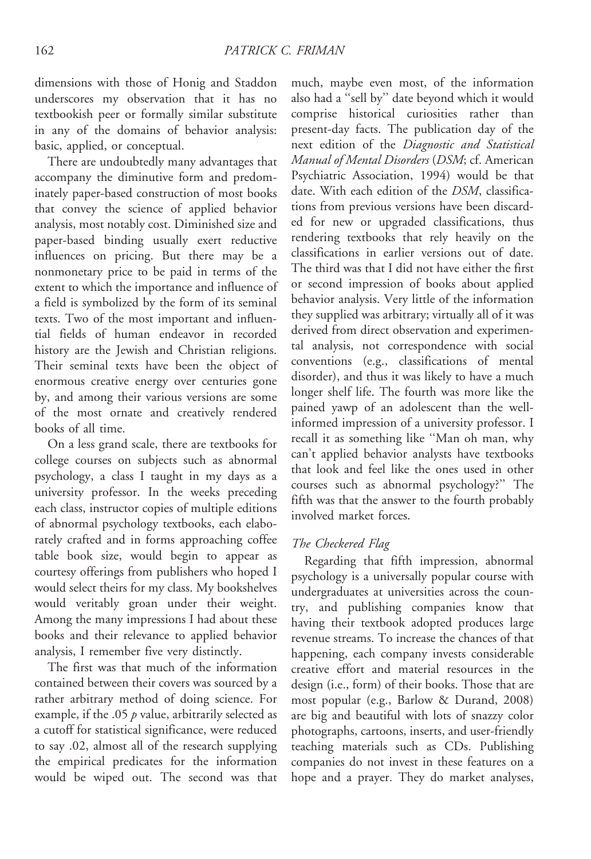dimensions with those of Honig and Staddon underscores my observation that it has no textbookish peer or formally similar substitute in any of the domains of behavior analysis: basic, applied, or conceptual.

There are undoubtedly many advantages that accompany the diminutive form and predominately paper-based construction of most books that convey the science of applied behavior analysis, most notably cost. Diminished size and paper-based binding usually exert reductive influences on pricing. But there may be a nonmonetary price to be paid in terms of the extent to which the importance and influence of a field is symbolized by the form of its seminal texts. Two of the most important and influential fields of human endeavor in recorded history are the Jewish and Christian religions. Their seminal texts have been the object of enormous creative energy over centuries gone by, and among their various versions are some of the most ornate and creatively rendered books of all time.

On a less grand scale, there are textbooks for college courses on subjects such as abnormal psychology, a class I taught in my days as a university professor. In the weeks preceding each class, instructor copies of multiple editions of abnormal psychology textbooks, each elaborately crafted and in forms approaching coffee table book size, would begin to appear as courtesy offerings from publishers who hoped I would select theirs for my class. My bookshelves would veritably groan under their weight. Among the many impressions I had about these books and their relevance to applied behavior analysis, I remember five very distinctly.

The first was that much of the information contained between their covers was sourced by a rather arbitrary method of doing science. For example, if the .05  $p$  value, arbitrarily selected as a cutoff for statistical significance, were reduced to say .02, almost all of the research supplying the empirical predicates for the information would be wiped out. The second was that much, maybe even most, of the information also had a ''sell by'' date beyond which it would comprise historical curiosities rather than present-day facts. The publication day of the next edition of the Diagnostic and Statistical Manual of Mental Disorders (DSM; cf. American Psychiatric Association, 1994) would be that date. With each edition of the DSM, classifications from previous versions have been discarded for new or upgraded classifications, thus rendering textbooks that rely heavily on the classifications in earlier versions out of date. The third was that I did not have either the first or second impression of books about applied behavior analysis. Very little of the information they supplied was arbitrary; virtually all of it was derived from direct observation and experimental analysis, not correspondence with social conventions (e.g., classifications of mental disorder), and thus it was likely to have a much longer shelf life. The fourth was more like the pained yawp of an adolescent than the wellinformed impression of a university professor. I recall it as something like ''Man oh man, why can't applied behavior analysts have textbooks that look and feel like the ones used in other courses such as abnormal psychology?'' The fifth was that the answer to the fourth probably involved market forces.

# The Checkered Flag

Regarding that fifth impression, abnormal psychology is a universally popular course with undergraduates at universities across the country, and publishing companies know that having their textbook adopted produces large revenue streams. To increase the chances of that happening, each company invests considerable creative effort and material resources in the design (i.e., form) of their books. Those that are most popular (e.g., Barlow & Durand, 2008) are big and beautiful with lots of snazzy color photographs, cartoons, inserts, and user-friendly teaching materials such as CDs. Publishing companies do not invest in these features on a hope and a prayer. They do market analyses,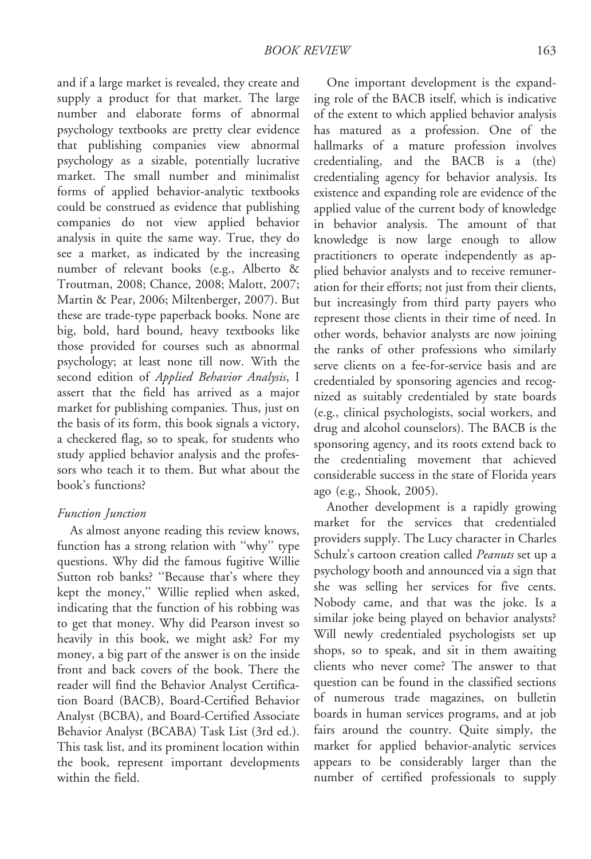and if a large market is revealed, they create and supply a product for that market. The large number and elaborate forms of abnormal psychology textbooks are pretty clear evidence that publishing companies view abnormal psychology as a sizable, potentially lucrative market. The small number and minimalist forms of applied behavior-analytic textbooks could be construed as evidence that publishing companies do not view applied behavior analysis in quite the same way. True, they do see a market, as indicated by the increasing number of relevant books (e.g., Alberto & Troutman, 2008; Chance, 2008; Malott, 2007; Martin & Pear, 2006; Miltenberger, 2007). But these are trade-type paperback books. None are big, bold, hard bound, heavy textbooks like those provided for courses such as abnormal psychology; at least none till now. With the second edition of Applied Behavior Analysis, I assert that the field has arrived as a major market for publishing companies. Thus, just on the basis of its form, this book signals a victory, a checkered flag, so to speak, for students who study applied behavior analysis and the professors who teach it to them. But what about the book's functions?

### Function Junction

As almost anyone reading this review knows, function has a strong relation with ''why'' type questions. Why did the famous fugitive Willie Sutton rob banks? ''Because that's where they kept the money,'' Willie replied when asked, indicating that the function of his robbing was to get that money. Why did Pearson invest so heavily in this book, we might ask? For my money, a big part of the answer is on the inside front and back covers of the book. There the reader will find the Behavior Analyst Certification Board (BACB), Board-Certified Behavior Analyst (BCBA), and Board-Certified Associate Behavior Analyst (BCABA) Task List (3rd ed.). This task list, and its prominent location within the book, represent important developments within the field.

One important development is the expanding role of the BACB itself, which is indicative of the extent to which applied behavior analysis has matured as a profession. One of the hallmarks of a mature profession involves credentialing, and the BACB is a (the) credentialing agency for behavior analysis. Its existence and expanding role are evidence of the applied value of the current body of knowledge in behavior analysis. The amount of that knowledge is now large enough to allow practitioners to operate independently as applied behavior analysts and to receive remuneration for their efforts; not just from their clients, but increasingly from third party payers who represent those clients in their time of need. In other words, behavior analysts are now joining the ranks of other professions who similarly serve clients on a fee-for-service basis and are credentialed by sponsoring agencies and recognized as suitably credentialed by state boards (e.g., clinical psychologists, social workers, and drug and alcohol counselors). The BACB is the sponsoring agency, and its roots extend back to the credentialing movement that achieved considerable success in the state of Florida years ago (e.g., Shook, 2005).

Another development is a rapidly growing market for the services that credentialed providers supply. The Lucy character in Charles Schulz's cartoon creation called Peanuts set up a psychology booth and announced via a sign that she was selling her services for five cents. Nobody came, and that was the joke. Is a similar joke being played on behavior analysts? Will newly credentialed psychologists set up shops, so to speak, and sit in them awaiting clients who never come? The answer to that question can be found in the classified sections of numerous trade magazines, on bulletin boards in human services programs, and at job fairs around the country. Quite simply, the market for applied behavior-analytic services appears to be considerably larger than the number of certified professionals to supply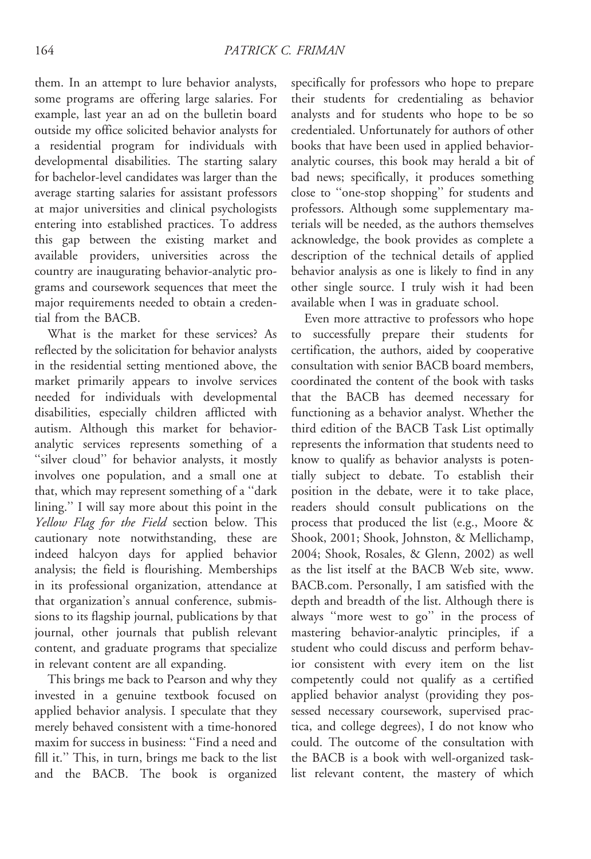them. In an attempt to lure behavior analysts, some programs are offering large salaries. For example, last year an ad on the bulletin board outside my office solicited behavior analysts for a residential program for individuals with developmental disabilities. The starting salary for bachelor-level candidates was larger than the average starting salaries for assistant professors at major universities and clinical psychologists entering into established practices. To address this gap between the existing market and available providers, universities across the country are inaugurating behavior-analytic programs and coursework sequences that meet the major requirements needed to obtain a credential from the BACB.

What is the market for these services? As reflected by the solicitation for behavior analysts in the residential setting mentioned above, the market primarily appears to involve services needed for individuals with developmental disabilities, especially children afflicted with autism. Although this market for behavioranalytic services represents something of a "silver cloud" for behavior analysts, it mostly involves one population, and a small one at that, which may represent something of a ''dark lining.'' I will say more about this point in the Yellow Flag for the Field section below. This cautionary note notwithstanding, these are indeed halcyon days for applied behavior analysis; the field is flourishing. Memberships in its professional organization, attendance at that organization's annual conference, submissions to its flagship journal, publications by that journal, other journals that publish relevant content, and graduate programs that specialize in relevant content are all expanding.

This brings me back to Pearson and why they invested in a genuine textbook focused on applied behavior analysis. I speculate that they merely behaved consistent with a time-honored maxim for success in business: ''Find a need and fill it.'' This, in turn, brings me back to the list and the BACB. The book is organized specifically for professors who hope to prepare their students for credentialing as behavior analysts and for students who hope to be so credentialed. Unfortunately for authors of other books that have been used in applied behavioranalytic courses, this book may herald a bit of bad news; specifically, it produces something close to ''one-stop shopping'' for students and professors. Although some supplementary materials will be needed, as the authors themselves acknowledge, the book provides as complete a description of the technical details of applied behavior analysis as one is likely to find in any other single source. I truly wish it had been available when I was in graduate school.

Even more attractive to professors who hope to successfully prepare their students for certification, the authors, aided by cooperative consultation with senior BACB board members, coordinated the content of the book with tasks that the BACB has deemed necessary for functioning as a behavior analyst. Whether the third edition of the BACB Task List optimally represents the information that students need to know to qualify as behavior analysts is potentially subject to debate. To establish their position in the debate, were it to take place, readers should consult publications on the process that produced the list (e.g., Moore & Shook, 2001; Shook, Johnston, & Mellichamp, 2004; Shook, Rosales, & Glenn, 2002) as well as the list itself at the BACB Web site, www. BACB.com. Personally, I am satisfied with the depth and breadth of the list. Although there is always ''more west to go'' in the process of mastering behavior-analytic principles, if a student who could discuss and perform behavior consistent with every item on the list competently could not qualify as a certified applied behavior analyst (providing they possessed necessary coursework, supervised practica, and college degrees), I do not know who could. The outcome of the consultation with the BACB is a book with well-organized tasklist relevant content, the mastery of which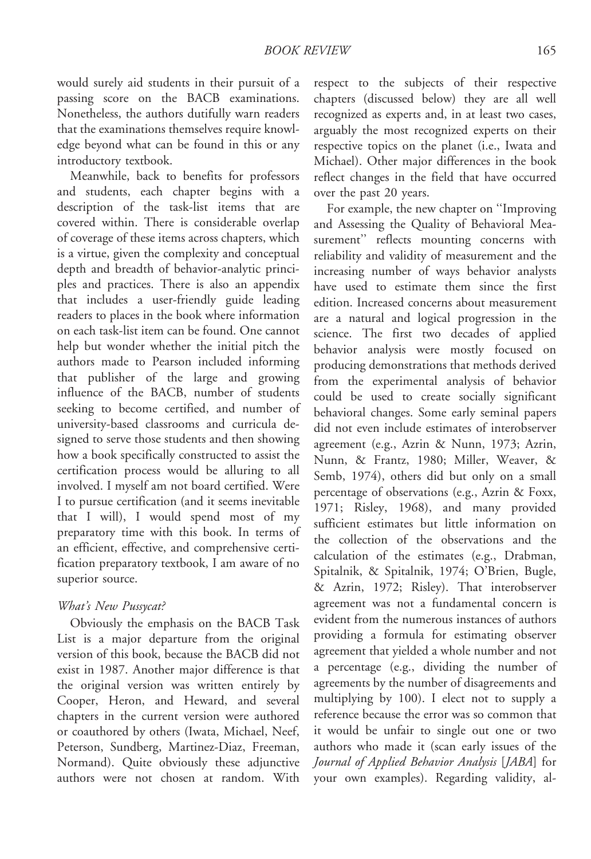would surely aid students in their pursuit of a passing score on the BACB examinations. Nonetheless, the authors dutifully warn readers that the examinations themselves require knowledge beyond what can be found in this or any introductory textbook.

Meanwhile, back to benefits for professors and students, each chapter begins with a description of the task-list items that are covered within. There is considerable overlap of coverage of these items across chapters, which is a virtue, given the complexity and conceptual depth and breadth of behavior-analytic principles and practices. There is also an appendix that includes a user-friendly guide leading readers to places in the book where information on each task-list item can be found. One cannot help but wonder whether the initial pitch the authors made to Pearson included informing that publisher of the large and growing influence of the BACB, number of students seeking to become certified, and number of university-based classrooms and curricula designed to serve those students and then showing how a book specifically constructed to assist the certification process would be alluring to all involved. I myself am not board certified. Were I to pursue certification (and it seems inevitable that I will), I would spend most of my preparatory time with this book. In terms of an efficient, effective, and comprehensive certification preparatory textbook, I am aware of no superior source.

### What's New Pussycat?

Obviously the emphasis on the BACB Task List is a major departure from the original version of this book, because the BACB did not exist in 1987. Another major difference is that the original version was written entirely by Cooper, Heron, and Heward, and several chapters in the current version were authored or coauthored by others (Iwata, Michael, Neef, Peterson, Sundberg, Martinez-Diaz, Freeman, Normand). Quite obviously these adjunctive authors were not chosen at random. With

respect to the subjects of their respective chapters (discussed below) they are all well recognized as experts and, in at least two cases, arguably the most recognized experts on their respective topics on the planet (i.e., Iwata and Michael). Other major differences in the book reflect changes in the field that have occurred over the past 20 years.

For example, the new chapter on ''Improving and Assessing the Quality of Behavioral Measurement'' reflects mounting concerns with reliability and validity of measurement and the increasing number of ways behavior analysts have used to estimate them since the first edition. Increased concerns about measurement are a natural and logical progression in the science. The first two decades of applied behavior analysis were mostly focused on producing demonstrations that methods derived from the experimental analysis of behavior could be used to create socially significant behavioral changes. Some early seminal papers did not even include estimates of interobserver agreement (e.g., Azrin & Nunn, 1973; Azrin, Nunn, & Frantz, 1980; Miller, Weaver, & Semb, 1974), others did but only on a small percentage of observations (e.g., Azrin & Foxx, 1971; Risley, 1968), and many provided sufficient estimates but little information on the collection of the observations and the calculation of the estimates (e.g., Drabman, Spitalnik, & Spitalnik, 1974; O'Brien, Bugle, & Azrin, 1972; Risley). That interobserver agreement was not a fundamental concern is evident from the numerous instances of authors providing a formula for estimating observer agreement that yielded a whole number and not a percentage (e.g., dividing the number of agreements by the number of disagreements and multiplying by 100). I elect not to supply a reference because the error was so common that it would be unfair to single out one or two authors who made it (scan early issues of the Journal of Applied Behavior Analysis [JABA] for your own examples). Regarding validity, al-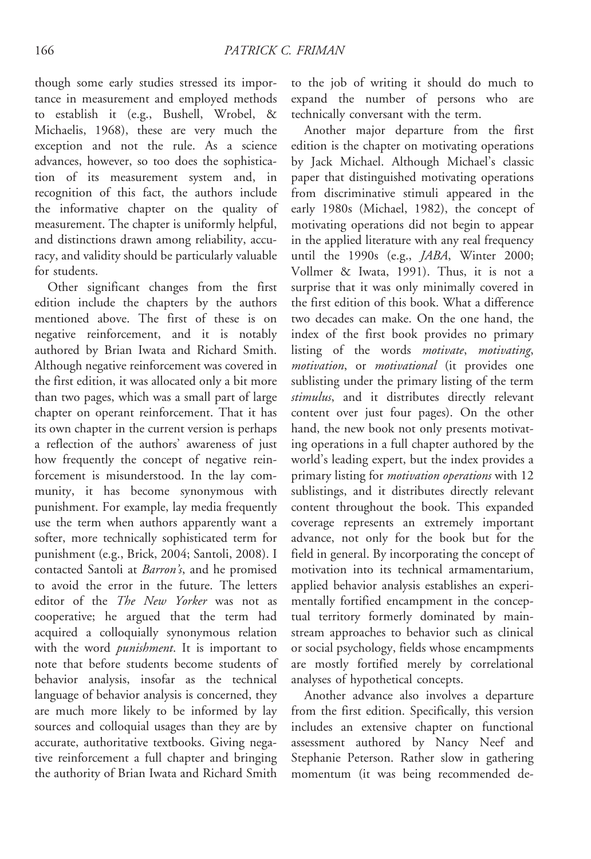though some early studies stressed its importance in measurement and employed methods to establish it (e.g., Bushell, Wrobel, & Michaelis, 1968), these are very much the exception and not the rule. As a science advances, however, so too does the sophistication of its measurement system and, in recognition of this fact, the authors include the informative chapter on the quality of measurement. The chapter is uniformly helpful, and distinctions drawn among reliability, accuracy, and validity should be particularly valuable for students.

Other significant changes from the first edition include the chapters by the authors mentioned above. The first of these is on negative reinforcement, and it is notably authored by Brian Iwata and Richard Smith. Although negative reinforcement was covered in the first edition, it was allocated only a bit more than two pages, which was a small part of large chapter on operant reinforcement. That it has its own chapter in the current version is perhaps a reflection of the authors' awareness of just how frequently the concept of negative reinforcement is misunderstood. In the lay community, it has become synonymous with punishment. For example, lay media frequently use the term when authors apparently want a softer, more technically sophisticated term for punishment (e.g., Brick, 2004; Santoli, 2008). I contacted Santoli at Barron's, and he promised to avoid the error in the future. The letters editor of the The New Yorker was not as cooperative; he argued that the term had acquired a colloquially synonymous relation with the word *punishment*. It is important to note that before students become students of behavior analysis, insofar as the technical language of behavior analysis is concerned, they are much more likely to be informed by lay sources and colloquial usages than they are by accurate, authoritative textbooks. Giving negative reinforcement a full chapter and bringing the authority of Brian Iwata and Richard Smith

to the job of writing it should do much to expand the number of persons who are technically conversant with the term.

Another major departure from the first edition is the chapter on motivating operations by Jack Michael. Although Michael's classic paper that distinguished motivating operations from discriminative stimuli appeared in the early 1980s (Michael, 1982), the concept of motivating operations did not begin to appear in the applied literature with any real frequency until the 1990s (e.g., *JABA*, Winter 2000; Vollmer & Iwata, 1991). Thus, it is not a surprise that it was only minimally covered in the first edition of this book. What a difference two decades can make. On the one hand, the index of the first book provides no primary listing of the words motivate, motivating, motivation, or motivational (it provides one sublisting under the primary listing of the term stimulus, and it distributes directly relevant content over just four pages). On the other hand, the new book not only presents motivating operations in a full chapter authored by the world's leading expert, but the index provides a primary listing for *motivation operations* with 12 sublistings, and it distributes directly relevant content throughout the book. This expanded coverage represents an extremely important advance, not only for the book but for the field in general. By incorporating the concept of motivation into its technical armamentarium, applied behavior analysis establishes an experimentally fortified encampment in the conceptual territory formerly dominated by mainstream approaches to behavior such as clinical or social psychology, fields whose encampments are mostly fortified merely by correlational analyses of hypothetical concepts.

Another advance also involves a departure from the first edition. Specifically, this version includes an extensive chapter on functional assessment authored by Nancy Neef and Stephanie Peterson. Rather slow in gathering momentum (it was being recommended de-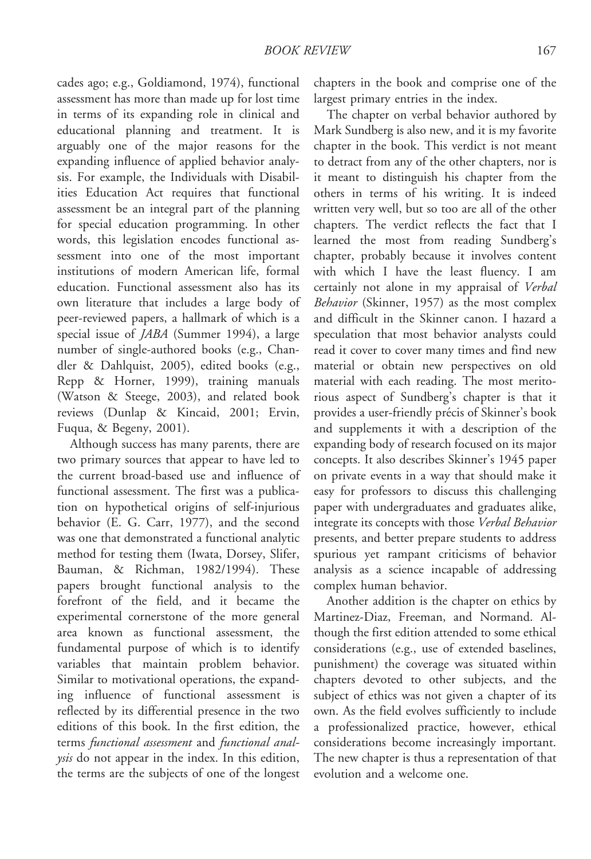cades ago; e.g., Goldiamond, 1974), functional assessment has more than made up for lost time in terms of its expanding role in clinical and educational planning and treatment. It is arguably one of the major reasons for the expanding influence of applied behavior analysis. For example, the Individuals with Disabilities Education Act requires that functional assessment be an integral part of the planning for special education programming. In other words, this legislation encodes functional assessment into one of the most important institutions of modern American life, formal education. Functional assessment also has its own literature that includes a large body of peer-reviewed papers, a hallmark of which is a special issue of *JABA* (Summer 1994), a large number of single-authored books (e.g., Chandler & Dahlquist, 2005), edited books (e.g., Repp & Horner, 1999), training manuals (Watson & Steege, 2003), and related book reviews (Dunlap & Kincaid, 2001; Ervin, Fuqua, & Begeny, 2001).

Although success has many parents, there are two primary sources that appear to have led to the current broad-based use and influence of functional assessment. The first was a publication on hypothetical origins of self-injurious behavior (E. G. Carr, 1977), and the second was one that demonstrated a functional analytic method for testing them (Iwata, Dorsey, Slifer, Bauman, & Richman, 1982/1994). These papers brought functional analysis to the forefront of the field, and it became the experimental cornerstone of the more general area known as functional assessment, the fundamental purpose of which is to identify variables that maintain problem behavior. Similar to motivational operations, the expanding influence of functional assessment is reflected by its differential presence in the two editions of this book. In the first edition, the terms functional assessment and functional analysis do not appear in the index. In this edition, the terms are the subjects of one of the longest chapters in the book and comprise one of the largest primary entries in the index.

The chapter on verbal behavior authored by Mark Sundberg is also new, and it is my favorite chapter in the book. This verdict is not meant to detract from any of the other chapters, nor is it meant to distinguish his chapter from the others in terms of his writing. It is indeed written very well, but so too are all of the other chapters. The verdict reflects the fact that I learned the most from reading Sundberg's chapter, probably because it involves content with which I have the least fluency. I am certainly not alone in my appraisal of Verbal Behavior (Skinner, 1957) as the most complex and difficult in the Skinner canon. I hazard a speculation that most behavior analysts could read it cover to cover many times and find new material or obtain new perspectives on old material with each reading. The most meritorious aspect of Sundberg's chapter is that it provides a user-friendly précis of Skinner's book and supplements it with a description of the expanding body of research focused on its major concepts. It also describes Skinner's 1945 paper on private events in a way that should make it easy for professors to discuss this challenging paper with undergraduates and graduates alike, integrate its concepts with those Verbal Behavior presents, and better prepare students to address spurious yet rampant criticisms of behavior analysis as a science incapable of addressing complex human behavior.

Another addition is the chapter on ethics by Martinez-Diaz, Freeman, and Normand. Although the first edition attended to some ethical considerations (e.g., use of extended baselines, punishment) the coverage was situated within chapters devoted to other subjects, and the subject of ethics was not given a chapter of its own. As the field evolves sufficiently to include a professionalized practice, however, ethical considerations become increasingly important. The new chapter is thus a representation of that evolution and a welcome one.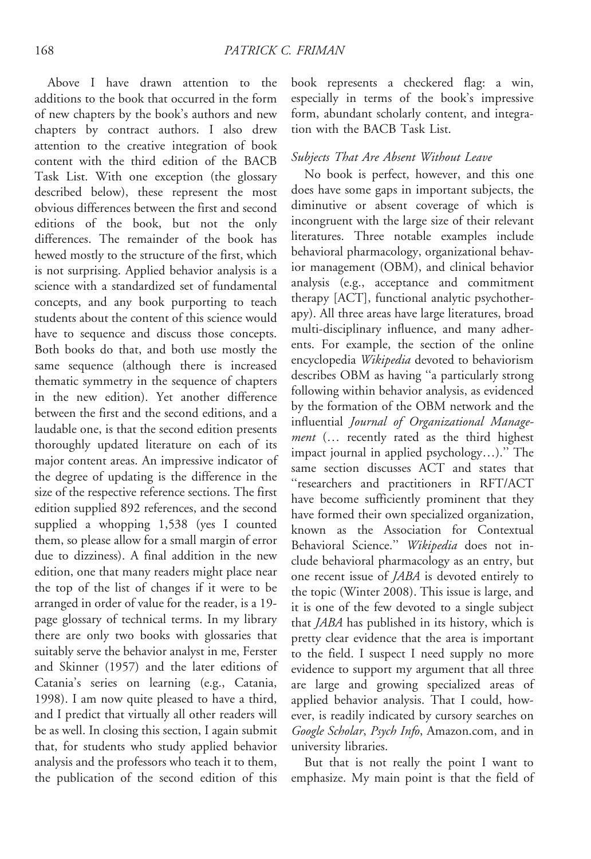Above I have drawn attention to the additions to the book that occurred in the form of new chapters by the book's authors and new chapters by contract authors. I also drew attention to the creative integration of book content with the third edition of the BACB Task List. With one exception (the glossary described below), these represent the most obvious differences between the first and second editions of the book, but not the only differences. The remainder of the book has hewed mostly to the structure of the first, which is not surprising. Applied behavior analysis is a science with a standardized set of fundamental concepts, and any book purporting to teach students about the content of this science would have to sequence and discuss those concepts. Both books do that, and both use mostly the same sequence (although there is increased thematic symmetry in the sequence of chapters in the new edition). Yet another difference between the first and the second editions, and a laudable one, is that the second edition presents thoroughly updated literature on each of its major content areas. An impressive indicator of the degree of updating is the difference in the size of the respective reference sections. The first edition supplied 892 references, and the second supplied a whopping 1,538 (yes I counted them, so please allow for a small margin of error due to dizziness). A final addition in the new edition, one that many readers might place near the top of the list of changes if it were to be arranged in order of value for the reader, is a 19 page glossary of technical terms. In my library there are only two books with glossaries that suitably serve the behavior analyst in me, Ferster and Skinner (1957) and the later editions of Catania's series on learning (e.g., Catania, 1998). I am now quite pleased to have a third, and I predict that virtually all other readers will be as well. In closing this section, I again submit that, for students who study applied behavior analysis and the professors who teach it to them, the publication of the second edition of this

book represents a checkered flag: a win, especially in terms of the book's impressive form, abundant scholarly content, and integration with the BACB Task List.

### Subjects That Are Absent Without Leave

No book is perfect, however, and this one does have some gaps in important subjects, the diminutive or absent coverage of which is incongruent with the large size of their relevant literatures. Three notable examples include behavioral pharmacology, organizational behavior management (OBM), and clinical behavior analysis (e.g., acceptance and commitment therapy [ACT], functional analytic psychotherapy). All three areas have large literatures, broad multi-disciplinary influence, and many adherents. For example, the section of the online encyclopedia Wikipedia devoted to behaviorism describes OBM as having ''a particularly strong following within behavior analysis, as evidenced by the formation of the OBM network and the influential Journal of Organizational Management (... recently rated as the third highest impact journal in applied psychology…).'' The same section discusses ACT and states that ''researchers and practitioners in RFT/ACT have become sufficiently prominent that they have formed their own specialized organization, known as the Association for Contextual Behavioral Science." Wikipedia does not include behavioral pharmacology as an entry, but one recent issue of JABA is devoted entirely to the topic (Winter 2008). This issue is large, and it is one of the few devoted to a single subject that JABA has published in its history, which is pretty clear evidence that the area is important to the field. I suspect I need supply no more evidence to support my argument that all three are large and growing specialized areas of applied behavior analysis. That I could, however, is readily indicated by cursory searches on Google Scholar, Psych Info, Amazon.com, and in university libraries.

But that is not really the point I want to emphasize. My main point is that the field of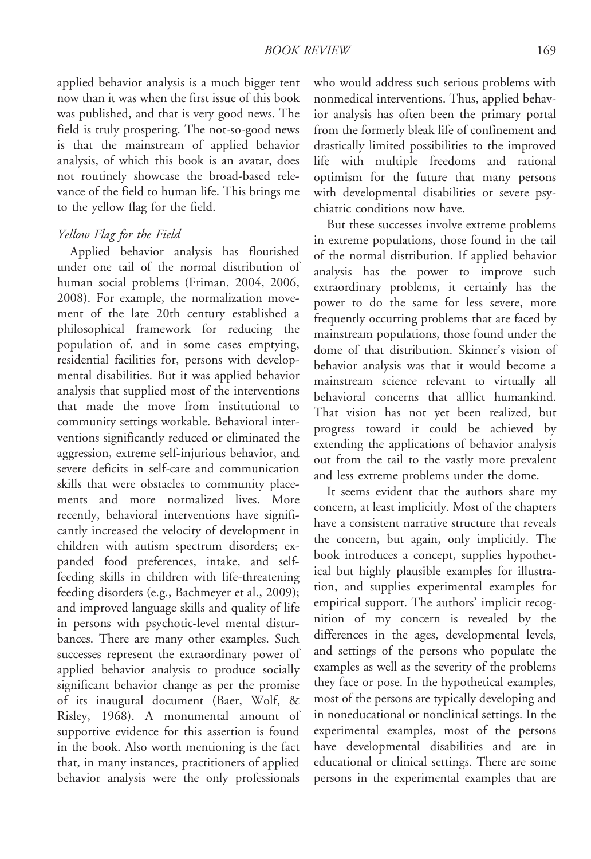applied behavior analysis is a much bigger tent now than it was when the first issue of this book was published, and that is very good news. The field is truly prospering. The not-so-good news is that the mainstream of applied behavior analysis, of which this book is an avatar, does not routinely showcase the broad-based relevance of the field to human life. This brings me to the yellow flag for the field.

## Yellow Flag for the Field

Applied behavior analysis has flourished under one tail of the normal distribution of human social problems (Friman, 2004, 2006, 2008). For example, the normalization movement of the late 20th century established a philosophical framework for reducing the population of, and in some cases emptying, residential facilities for, persons with developmental disabilities. But it was applied behavior analysis that supplied most of the interventions that made the move from institutional to community settings workable. Behavioral interventions significantly reduced or eliminated the aggression, extreme self-injurious behavior, and severe deficits in self-care and communication skills that were obstacles to community placements and more normalized lives. More recently, behavioral interventions have significantly increased the velocity of development in children with autism spectrum disorders; expanded food preferences, intake, and selffeeding skills in children with life-threatening feeding disorders (e.g., Bachmeyer et al., 2009); and improved language skills and quality of life in persons with psychotic-level mental disturbances. There are many other examples. Such successes represent the extraordinary power of applied behavior analysis to produce socially significant behavior change as per the promise of its inaugural document (Baer, Wolf, & Risley, 1968). A monumental amount of supportive evidence for this assertion is found in the book. Also worth mentioning is the fact that, in many instances, practitioners of applied behavior analysis were the only professionals who would address such serious problems with nonmedical interventions. Thus, applied behavior analysis has often been the primary portal from the formerly bleak life of confinement and drastically limited possibilities to the improved life with multiple freedoms and rational optimism for the future that many persons with developmental disabilities or severe psychiatric conditions now have.

But these successes involve extreme problems in extreme populations, those found in the tail of the normal distribution. If applied behavior analysis has the power to improve such extraordinary problems, it certainly has the power to do the same for less severe, more frequently occurring problems that are faced by mainstream populations, those found under the dome of that distribution. Skinner's vision of behavior analysis was that it would become a mainstream science relevant to virtually all behavioral concerns that afflict humankind. That vision has not yet been realized, but progress toward it could be achieved by extending the applications of behavior analysis out from the tail to the vastly more prevalent and less extreme problems under the dome.

It seems evident that the authors share my concern, at least implicitly. Most of the chapters have a consistent narrative structure that reveals the concern, but again, only implicitly. The book introduces a concept, supplies hypothetical but highly plausible examples for illustration, and supplies experimental examples for empirical support. The authors' implicit recognition of my concern is revealed by the differences in the ages, developmental levels, and settings of the persons who populate the examples as well as the severity of the problems they face or pose. In the hypothetical examples, most of the persons are typically developing and in noneducational or nonclinical settings. In the experimental examples, most of the persons have developmental disabilities and are in educational or clinical settings. There are some persons in the experimental examples that are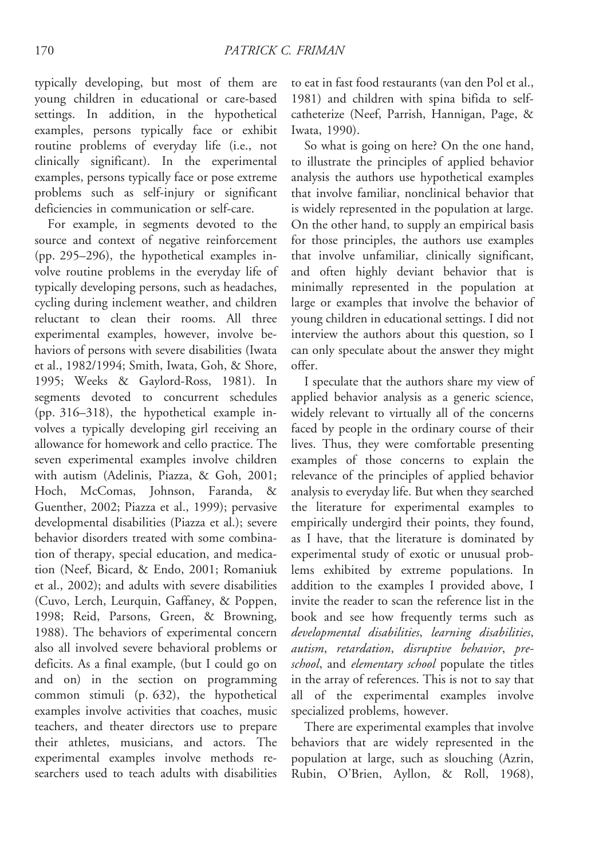typically developing, but most of them are young children in educational or care-based settings. In addition, in the hypothetical examples, persons typically face or exhibit routine problems of everyday life (i.e., not clinically significant). In the experimental examples, persons typically face or pose extreme problems such as self-injury or significant deficiencies in communication or self-care.

For example, in segments devoted to the source and context of negative reinforcement (pp. 295–296), the hypothetical examples involve routine problems in the everyday life of typically developing persons, such as headaches, cycling during inclement weather, and children reluctant to clean their rooms. All three experimental examples, however, involve behaviors of persons with severe disabilities (Iwata et al., 1982/1994; Smith, Iwata, Goh, & Shore, 1995; Weeks & Gaylord-Ross, 1981). In segments devoted to concurrent schedules (pp. 316–318), the hypothetical example involves a typically developing girl receiving an allowance for homework and cello practice. The seven experimental examples involve children with autism (Adelinis, Piazza, & Goh, 2001; Hoch, McComas, Johnson, Faranda, & Guenther, 2002; Piazza et al., 1999); pervasive developmental disabilities (Piazza et al.); severe behavior disorders treated with some combination of therapy, special education, and medication (Neef, Bicard, & Endo, 2001; Romaniuk et al., 2002); and adults with severe disabilities (Cuvo, Lerch, Leurquin, Gaffaney, & Poppen, 1998; Reid, Parsons, Green, & Browning, 1988). The behaviors of experimental concern also all involved severe behavioral problems or deficits. As a final example, (but I could go on and on) in the section on programming common stimuli (p. 632), the hypothetical examples involve activities that coaches, music teachers, and theater directors use to prepare their athletes, musicians, and actors. The experimental examples involve methods researchers used to teach adults with disabilities

to eat in fast food restaurants (van den Pol et al., 1981) and children with spina bifida to selfcatheterize (Neef, Parrish, Hannigan, Page, & Iwata, 1990).

So what is going on here? On the one hand, to illustrate the principles of applied behavior analysis the authors use hypothetical examples that involve familiar, nonclinical behavior that is widely represented in the population at large. On the other hand, to supply an empirical basis for those principles, the authors use examples that involve unfamiliar, clinically significant, and often highly deviant behavior that is minimally represented in the population at large or examples that involve the behavior of young children in educational settings. I did not interview the authors about this question, so I can only speculate about the answer they might offer.

I speculate that the authors share my view of applied behavior analysis as a generic science, widely relevant to virtually all of the concerns faced by people in the ordinary course of their lives. Thus, they were comfortable presenting examples of those concerns to explain the relevance of the principles of applied behavior analysis to everyday life. But when they searched the literature for experimental examples to empirically undergird their points, they found, as I have, that the literature is dominated by experimental study of exotic or unusual problems exhibited by extreme populations. In addition to the examples I provided above, I invite the reader to scan the reference list in the book and see how frequently terms such as developmental disabilities, learning disabilities, autism, retardation, disruptive behavior, preschool, and elementary school populate the titles in the array of references. This is not to say that all of the experimental examples involve specialized problems, however.

There are experimental examples that involve behaviors that are widely represented in the population at large, such as slouching (Azrin, Rubin, O'Brien, Ayllon, & Roll, 1968),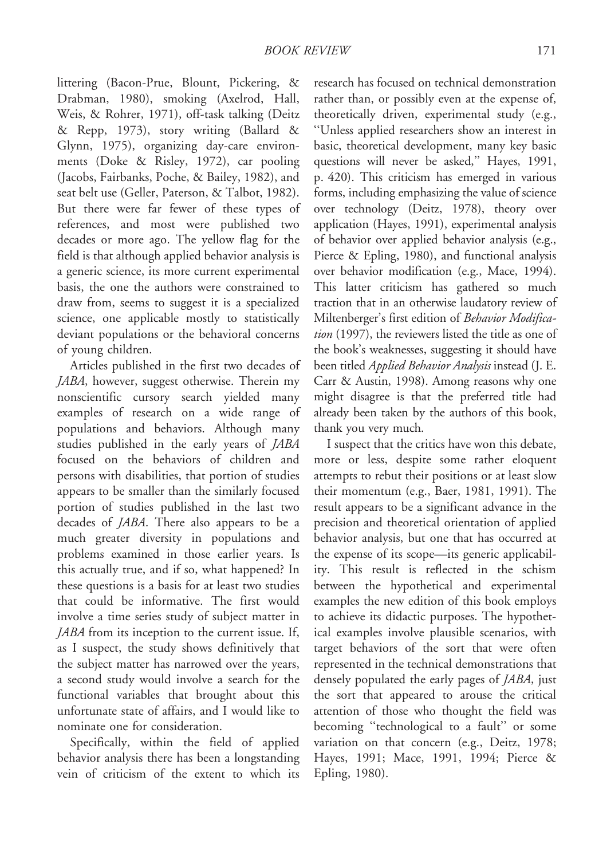littering (Bacon-Prue, Blount, Pickering, & Drabman, 1980), smoking (Axelrod, Hall, Weis, & Rohrer, 1971), off-task talking (Deitz & Repp, 1973), story writing (Ballard & Glynn, 1975), organizing day-care environments (Doke & Risley, 1972), car pooling (Jacobs, Fairbanks, Poche, & Bailey, 1982), and seat belt use (Geller, Paterson, & Talbot, 1982). But there were far fewer of these types of references, and most were published two decades or more ago. The yellow flag for the field is that although applied behavior analysis is a generic science, its more current experimental basis, the one the authors were constrained to draw from, seems to suggest it is a specialized science, one applicable mostly to statistically deviant populations or the behavioral concerns of young children.

Articles published in the first two decades of JABA, however, suggest otherwise. Therein my nonscientific cursory search yielded many examples of research on a wide range of populations and behaviors. Although many studies published in the early years of JABA focused on the behaviors of children and persons with disabilities, that portion of studies appears to be smaller than the similarly focused portion of studies published in the last two decades of *JABA*. There also appears to be a much greater diversity in populations and problems examined in those earlier years. Is this actually true, and if so, what happened? In these questions is a basis for at least two studies that could be informative. The first would involve a time series study of subject matter in JABA from its inception to the current issue. If, as I suspect, the study shows definitively that the subject matter has narrowed over the years, a second study would involve a search for the functional variables that brought about this unfortunate state of affairs, and I would like to nominate one for consideration.

Specifically, within the field of applied behavior analysis there has been a longstanding vein of criticism of the extent to which its

research has focused on technical demonstration rather than, or possibly even at the expense of, theoretically driven, experimental study (e.g., ''Unless applied researchers show an interest in basic, theoretical development, many key basic questions will never be asked,'' Hayes, 1991, p. 420). This criticism has emerged in various forms, including emphasizing the value of science over technology (Deitz, 1978), theory over application (Hayes, 1991), experimental analysis of behavior over applied behavior analysis (e.g., Pierce & Epling, 1980), and functional analysis over behavior modification (e.g., Mace, 1994). This latter criticism has gathered so much traction that in an otherwise laudatory review of Miltenberger's first edition of Behavior Modification (1997), the reviewers listed the title as one of the book's weaknesses, suggesting it should have been titled Applied Behavior Analysis instead (J. E. Carr & Austin, 1998). Among reasons why one might disagree is that the preferred title had already been taken by the authors of this book, thank you very much.

I suspect that the critics have won this debate, more or less, despite some rather eloquent attempts to rebut their positions or at least slow their momentum (e.g., Baer, 1981, 1991). The result appears to be a significant advance in the precision and theoretical orientation of applied behavior analysis, but one that has occurred at the expense of its scope—its generic applicability. This result is reflected in the schism between the hypothetical and experimental examples the new edition of this book employs to achieve its didactic purposes. The hypothetical examples involve plausible scenarios, with target behaviors of the sort that were often represented in the technical demonstrations that densely populated the early pages of JABA, just the sort that appeared to arouse the critical attention of those who thought the field was becoming ''technological to a fault'' or some variation on that concern (e.g., Deitz, 1978; Hayes, 1991; Mace, 1991, 1994; Pierce & Epling, 1980).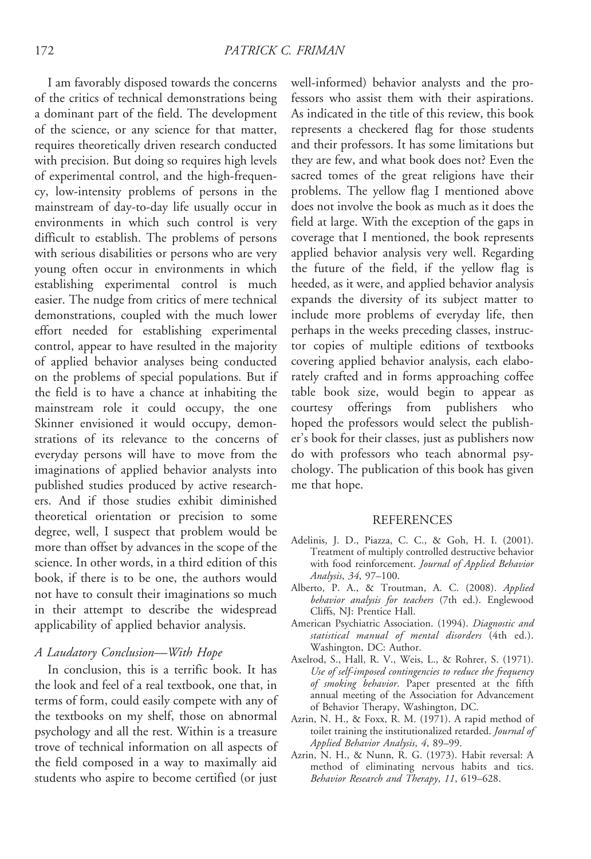I am favorably disposed towards the concerns of the critics of technical demonstrations being a dominant part of the field. The development of the science, or any science for that matter, requires theoretically driven research conducted with precision. But doing so requires high levels of experimental control, and the high-frequency, low-intensity problems of persons in the mainstream of day-to-day life usually occur in environments in which such control is very difficult to establish. The problems of persons with serious disabilities or persons who are very young often occur in environments in which establishing experimental control is much easier. The nudge from critics of mere technical demonstrations, coupled with the much lower effort needed for establishing experimental control, appear to have resulted in the majority of applied behavior analyses being conducted on the problems of special populations. But if the field is to have a chance at inhabiting the mainstream role it could occupy, the one Skinner envisioned it would occupy, demonstrations of its relevance to the concerns of everyday persons will have to move from the imaginations of applied behavior analysts into published studies produced by active researchers. And if those studies exhibit diminished theoretical orientation or precision to some degree, well, I suspect that problem would be more than offset by advances in the scope of the science. In other words, in a third edition of this book, if there is to be one, the authors would not have to consult their imaginations so much in their attempt to describe the widespread applicability of applied behavior analysis.

#### A Laudatory Conclusion—With Hope

In conclusion, this is a terrific book. It has the look and feel of a real textbook, one that, in terms of form, could easily compete with any of the textbooks on my shelf, those on abnormal psychology and all the rest. Within is a treasure trove of technical information on all aspects of the field composed in a way to maximally aid students who aspire to become certified (or just

well-informed) behavior analysts and the professors who assist them with their aspirations. As indicated in the title of this review, this book represents a checkered flag for those students and their professors. It has some limitations but they are few, and what book does not? Even the sacred tomes of the great religions have their problems. The yellow flag I mentioned above does not involve the book as much as it does the field at large. With the exception of the gaps in coverage that I mentioned, the book represents applied behavior analysis very well. Regarding the future of the field, if the yellow flag is heeded, as it were, and applied behavior analysis expands the diversity of its subject matter to include more problems of everyday life, then perhaps in the weeks preceding classes, instructor copies of multiple editions of textbooks covering applied behavior analysis, each elaborately crafted and in forms approaching coffee table book size, would begin to appear as courtesy offerings from publishers who hoped the professors would select the publisher's book for their classes, just as publishers now do with professors who teach abnormal psychology. The publication of this book has given me that hope.

#### REFERENCES

- Adelinis, J. D., Piazza, C. C., & Goh, H. I. (2001). Treatment of multiply controlled destructive behavior with food reinforcement. Journal of Applied Behavior Analysis, 34, 97–100.
- Alberto, P. A., & Troutman, A. C. (2008). Applied behavior analysis for teachers (7th ed.). Englewood Cliffs, NJ: Prentice Hall.
- American Psychiatric Association. (1994). Diagnostic and statistical manual of mental disorders (4th ed.). Washington, DC: Author.
- Axelrod, S., Hall, R. V., Weis, L., & Rohrer, S. (1971). Use of self-imposed contingencies to reduce the frequency of smoking behavior. Paper presented at the fifth annual meeting of the Association for Advancement of Behavior Therapy, Washington, DC.
- Azrin, N. H., & Foxx, R. M. (1971). A rapid method of toilet training the institutionalized retarded. Journal of Applied Behavior Analysis, 4, 89–99.
- Azrin, N. H., & Nunn, R. G. (1973). Habit reversal: A method of eliminating nervous habits and tics. Behavior Research and Therapy, 11, 619–628.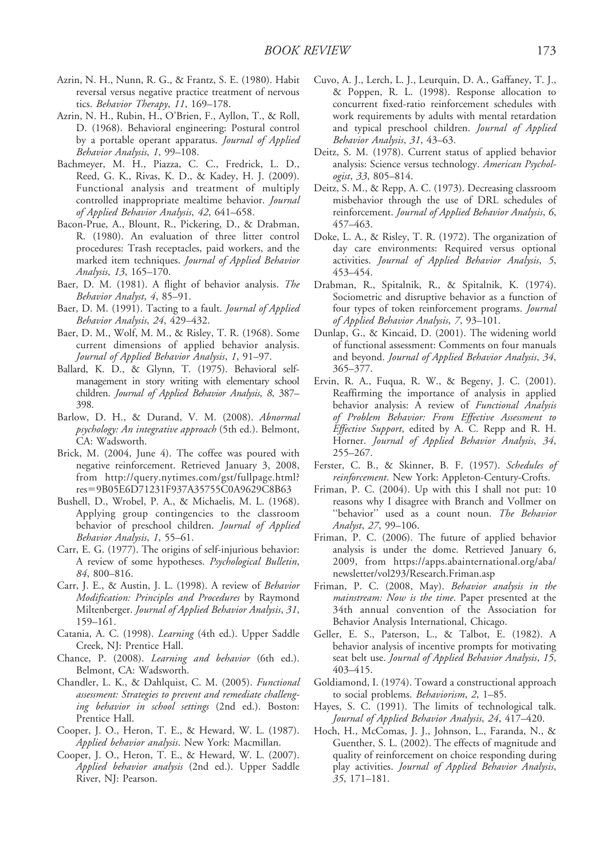- Azrin, N. H., Nunn, R. G., & Frantz, S. E. (1980). Habit reversal versus negative practice treatment of nervous tics. Behavior Therapy, 11, 169-178.
- Azrin, N. H., Rubin, H., O'Brien, F., Ayllon, T., & Roll, D. (1968). Behavioral engineering: Postural control by a portable operant apparatus. Journal of Applied Behavior Analysis, 1, 99–108.
- Bachmeyer, M. H., Piazza, C. C., Fredrick, L. D., Reed, G. K., Rivas, K. D., & Kadey, H. J. (2009). Functional analysis and treatment of multiply controlled inappropriate mealtime behavior. Journal of Applied Behavior Analysis, 42, 641–658.
- Bacon-Prue, A., Blount, R., Pickering, D., & Drabman, R. (1980). An evaluation of three litter control procedures: Trash receptacles, paid workers, and the marked item techniques. Journal of Applied Behavior Analysis, 13, 165–170.
- Baer, D. M. (1981). A flight of behavior analysis. The Behavior Analyst, 4, 85–91.
- Baer, D. M. (1991). Tacting to a fault. Journal of Applied Behavior Analysis, 24, 429–432.
- Baer, D. M., Wolf, M. M., & Risley, T. R. (1968). Some current dimensions of applied behavior analysis. Journal of Applied Behavior Analysis, 1, 91–97.
- Ballard, K. D., & Glynn, T. (1975). Behavioral selfmanagement in story writing with elementary school children. Journal of Applied Behavior Analysis, 8, 387– 398.
- Barlow, D. H., & Durand, V. M. (2008). Abnormal psychology: An integrative approach (5th ed.). Belmont, CA: Wadsworth.
- Brick, M. (2004, June 4). The coffee was poured with negative reinforcement. Retrieved January 3, 2008, from http://query.nytimes.com/gst/fullpage.html? res=9B05E6D71231F937A35755C0A9629C8B63
- Bushell, D., Wrobel, P. A., & Michaelis, M. L. (1968). Applying group contingencies to the classroom behavior of preschool children. Journal of Applied Behavior Analysis, 1, 55–61.
- Carr, E. G. (1977). The origins of self-injurious behavior: A review of some hypotheses. Psychological Bulletin, 84, 800–816.
- Carr, J. E., & Austin, J. L. (1998). A review of Behavior Modification: Principles and Procedures by Raymond Miltenberger. Journal of Applied Behavior Analysis, 31, 159–161.
- Catania, A. C. (1998). Learning (4th ed.). Upper Saddle Creek, NJ: Prentice Hall.
- Chance, P. (2008). Learning and behavior (6th ed.). Belmont, CA: Wadsworth.
- Chandler, L. K., & Dahlquist, C. M. (2005). Functional assessment: Strategies to prevent and remediate challenging behavior in school settings (2nd ed.). Boston: Prentice Hall.
- Cooper, J. O., Heron, T. E., & Heward, W. L. (1987). Applied behavior analysis. New York: Macmillan.
- Cooper, J. O., Heron, T. E., & Heward, W. L. (2007). Applied behavior analysis (2nd ed.). Upper Saddle River, NJ: Pearson.
- Cuvo, A. J., Lerch, L. J., Leurquin, D. A., Gaffaney, T. J., & Poppen, R. L. (1998). Response allocation to concurrent fixed-ratio reinforcement schedules with work requirements by adults with mental retardation and typical preschool children. *Journal of Applied* Behavior Analysis, 31, 43–63.
- Deitz, S. M. (1978). Current status of applied behavior analysis: Science versus technology. American Psychologist, 33, 805–814.
- Deitz, S. M., & Repp, A. C. (1973). Decreasing classroom misbehavior through the use of DRL schedules of reinforcement. Journal of Applied Behavior Analysis, 6, 457–463.
- Doke, L. A., & Risley, T. R. (1972). The organization of day care environments: Required versus optional activities. Journal of Applied Behavior Analysis, 5, 453–454.
- Drabman, R., Spitalnik, R., & Spitalnik, K. (1974). Sociometric and disruptive behavior as a function of four types of token reinforcement programs. Journal of Applied Behavior Analysis, 7, 93–101.
- Dunlap, G., & Kincaid, D. (2001). The widening world of functional assessment: Comments on four manuals and beyond. Journal of Applied Behavior Analysis, 34, 365–377.
- Ervin, R. A., Fuqua, R. W., & Begeny, J. C. (2001). Reaffirming the importance of analysis in applied behavior analysis: A review of Functional Analysis of Problem Behavior: From Effective Assessment to Effective Support, edited by A. C. Repp and R. H. Horner. Journal of Applied Behavior Analysis, 34, 255–267.
- Ferster, C. B., & Skinner, B. F. (1957). Schedules of reinforcement. New York: Appleton-Century-Crofts.
- Friman, P. C. (2004). Up with this I shall not put: 10 reasons why I disagree with Branch and Vollmer on "behavior" used as a count noun. The Behavior Analyst, 27, 99–106.
- Friman, P. C. (2006). The future of applied behavior analysis is under the dome. Retrieved January 6, 2009, from https://apps.abainternational.org/aba/ newsletter/vol293/Research.Friman.asp
- Friman, P. C. (2008, May). Behavior analysis in the mainstream: Now is the time. Paper presented at the 34th annual convention of the Association for Behavior Analysis International, Chicago.
- Geller, E. S., Paterson, L., & Talbot, E. (1982). A behavior analysis of incentive prompts for motivating seat belt use. Journal of Applied Behavior Analysis, 15, 403–415.
- Goldiamond, I. (1974). Toward a constructional approach to social problems. Behaviorism, 2, 1-85.
- Hayes, S. C. (1991). The limits of technological talk. Journal of Applied Behavior Analysis, 24, 417–420.
- Hoch, H., McComas, J. J., Johnson, L., Faranda, N., & Guenther, S. L. (2002). The effects of magnitude and quality of reinforcement on choice responding during play activities. Journal of Applied Behavior Analysis, 35, 171–181.